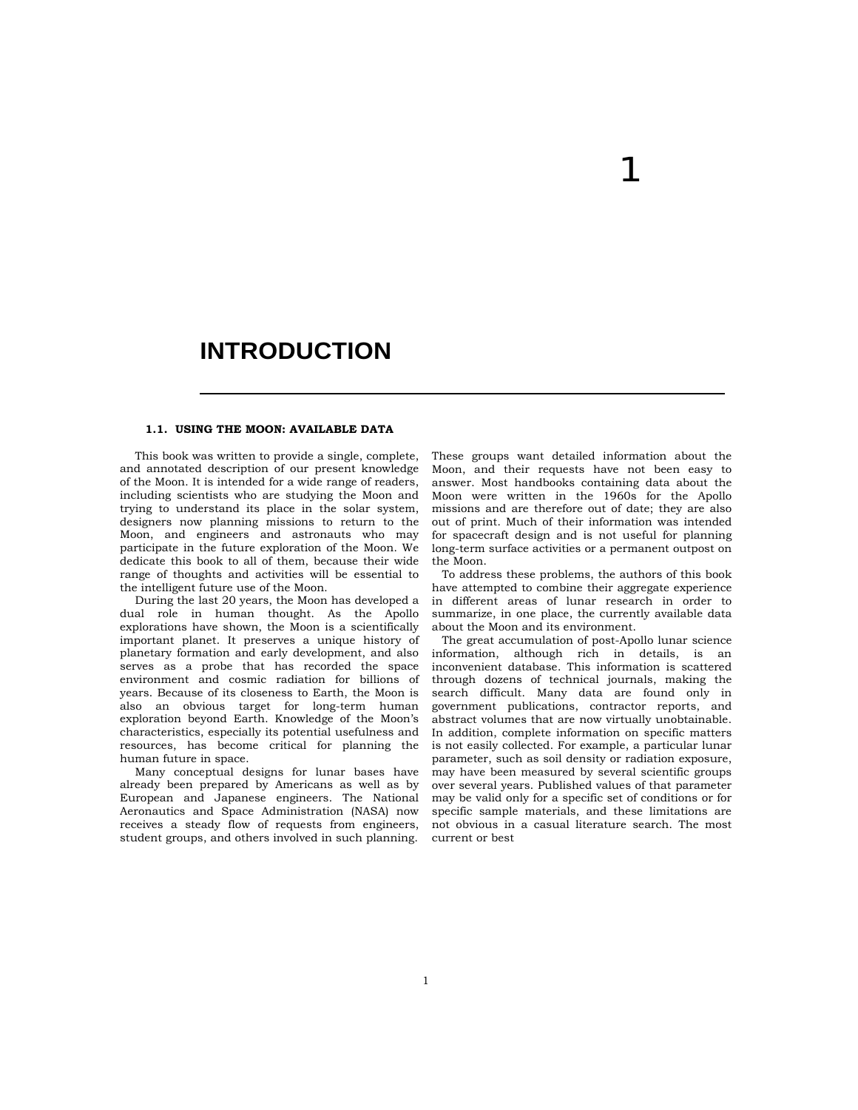## **INTRODUCTION**

## **1.1. USING THE MOON: AVAILABLE DATA**

This book was written to provide a single, complete, and annotated description of our present knowledge of the Moon. It is intended for a wide range of readers, including scientists who are studying the Moon and trying to understand its place in the solar system, designers now planning missions to return to the Moon, and engineers and astronauts who may participate in the future exploration of the Moon. We dedicate this book to all of them, because their wide range of thoughts and activities will be essential to the intelligent future use of the Moon.

During the last 20 years, the Moon has developed a dual role in human thought. As the Apollo explorations have shown, the Moon is a scientifically important planet. It preserves a unique history of planetary formation and early development, and also serves as a probe that has recorded the space environment and cosmic radiation for billions of years. Because of its closeness to Earth, the Moon is also an obvious target for long-term human exploration beyond Earth. Knowledge of the Moon's characteristics, especially its potential usefulness and resources, has become critical for planning the human future in space.

Many conceptual designs for lunar bases have already been prepared by Americans as well as by European and Japanese engineers. The National Aeronautics and Space Administration (NASA) now receives a steady flow of requests from engineers, student groups, and others involved in such planning.

These groups want detailed information about the Moon, and their requests have not been easy to answer. Most handbooks containing data about the Moon were written in the 1960s for the Apollo missions and are therefore out of date; they are also out of print. Much of their information was intended for spacecraft design and is not useful for planning long-term surface activities or a permanent outpost on the Moon.

To address these problems, the authors of this book have attempted to combine their aggregate experience in different areas of lunar research in order to summarize, in one place, the currently available data about the Moon and its environment.

The great accumulation of post-Apollo lunar science information, although rich in details, is an inconvenient database. This information is scattered through dozens of technical journals, making the search difficult. Many data are found only in government publications, contractor reports, and abstract volumes that are now virtually unobtainable. In addition, complete information on specific matters is not easily collected. For example, a particular lunar parameter, such as soil density or radiation exposure, may have been measured by several scientific groups over several years. Published values of that parameter may be valid only for a specific set of conditions or for specific sample materials, and these limitations are not obvious in a casual literature search. The most current or best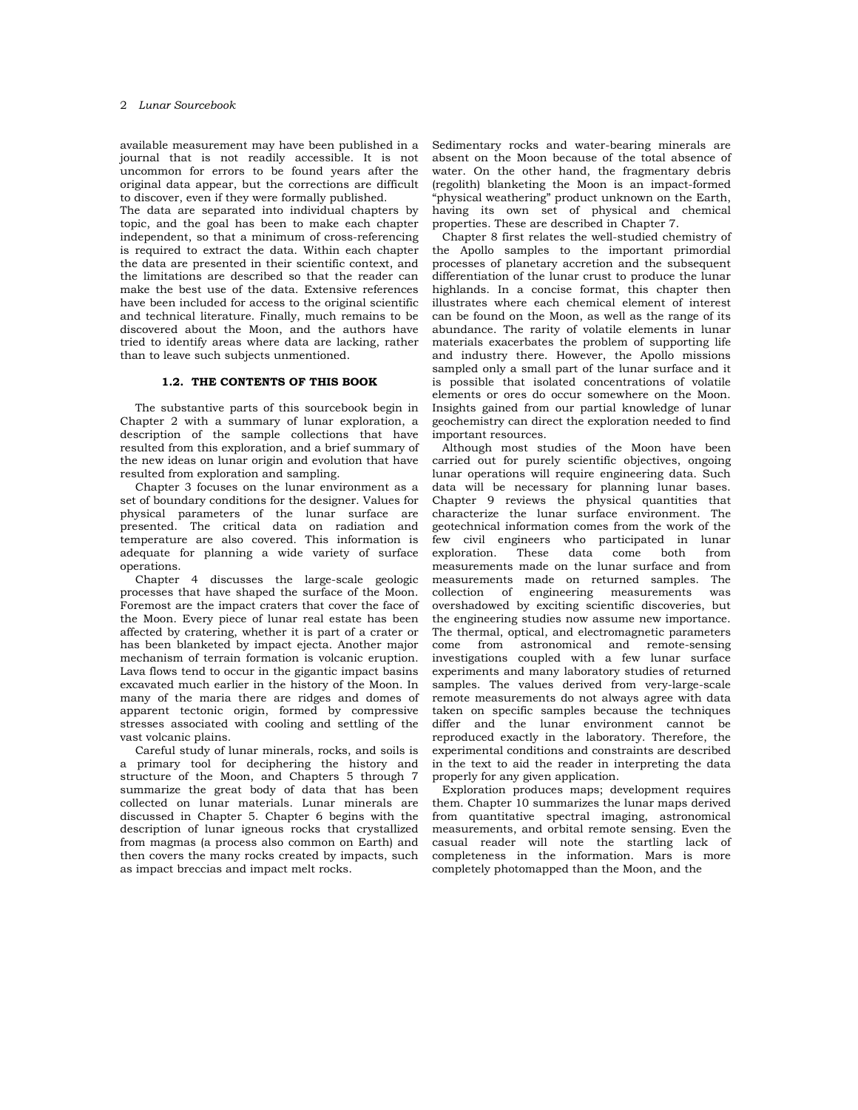available measurement may have been published in a journal that is not readily accessible. It is not uncommon for errors to be found years after the original data appear, but the corrections are difficult to discover, even if they were formally published.

The data are separated into individual chapters by topic, and the goal has been to make each chapter independent, so that a minimum of cross-referencing is required to extract the data. Within each chapter the data are presented in their scientific context, and the limitations are described so that the reader can make the best use of the data. Extensive references have been included for access to the original scientific and technical literature. Finally, much remains to be discovered about the Moon, and the authors have tried to identify areas where data are lacking, rather than to leave such subjects unmentioned.

## **1.2. THE CONTENTS OF THIS BOOK**

The substantive parts of this sourcebook begin in Chapter 2 with a summary of lunar exploration, a description of the sample collections that have resulted from this exploration, and a brief summary of the new ideas on lunar origin and evolution that have resulted from exploration and sampling.

Chapter 3 focuses on the lunar environment as a set of boundary conditions for the designer. Values for physical parameters of the lunar surface are presented. The critical data on radiation and temperature are also covered. This information is adequate for planning a wide variety of surface operations.

Chapter 4 discusses the large-scale geologic processes that have shaped the surface of the Moon. Foremost are the impact craters that cover the face of the Moon. Every piece of lunar real estate has been affected by cratering, whether it is part of a crater or has been blanketed by impact ejecta. Another major mechanism of terrain formation is volcanic eruption. Lava flows tend to occur in the gigantic impact basins excavated much earlier in the history of the Moon. In many of the maria there are ridges and domes of apparent tectonic origin, formed by compressive stresses associated with cooling and settling of the vast volcanic plains.

Careful study of lunar minerals, rocks, and soils is a primary tool for deciphering the history and structure of the Moon, and Chapters 5 through 7 summarize the great body of data that has been collected on lunar materials. Lunar minerals are discussed in Chapter 5. Chapter 6 begins with the description of lunar igneous rocks that crystallized from magmas (a process also common on Earth) and then covers the many rocks created by impacts, such as impact breccias and impact melt rocks.

Sedimentary rocks and water-bearing minerals are absent on the Moon because of the total absence of water. On the other hand, the fragmentary debris (regolith) blanketing the Moon is an impact-formed "physical weathering" product unknown on the Earth, having its own set of physical and chemical properties. These are described in Chapter 7.

Chapter 8 first relates the well-studied chemistry of the Apollo samples to the important primordial processes of planetary accretion and the subsequent differentiation of the lunar crust to produce the lunar highlands. In a concise format, this chapter then illustrates where each chemical element of interest can be found on the Moon, as well as the range of its abundance. The rarity of volatile elements in lunar materials exacerbates the problem of supporting life and industry there. However, the Apollo missions sampled only a small part of the lunar surface and it is possible that isolated concentrations of volatile elements or ores do occur somewhere on the Moon. Insights gained from our partial knowledge of lunar geochemistry can direct the exploration needed to find important resources.

Although most studies of the Moon have been carried out for purely scientific objectives, ongoing lunar operations will require engineering data. Such data will be necessary for planning lunar bases. Chapter 9 reviews the physical quantities that characterize the lunar surface environment. The geotechnical information comes from the work of the few civil engineers who participated in lunar exploration. These data come both from measurements made on the lunar surface and from measurements made on returned samples. The collection of engineering measurements was overshadowed by exciting scientific discoveries, but the engineering studies now assume new importance. The thermal, optical, and electromagnetic parameters come from astronomical and remote-sensing investigations coupled with a few lunar surface experiments and many laboratory studies of returned samples. The values derived from very-large-scale remote measurements do not always agree with data taken on specific samples because the techniques differ and the lunar environment cannot be reproduced exactly in the laboratory. Therefore, the experimental conditions and constraints are described in the text to aid the reader in interpreting the data properly for any given application.

Exploration produces maps; development requires them. Chapter 10 summarizes the lunar maps derived from quantitative spectral imaging, astronomical measurements, and orbital remote sensing. Even the casual reader will note the startling lack of completeness in the information. Mars is more completely photomapped than the Moon, and the